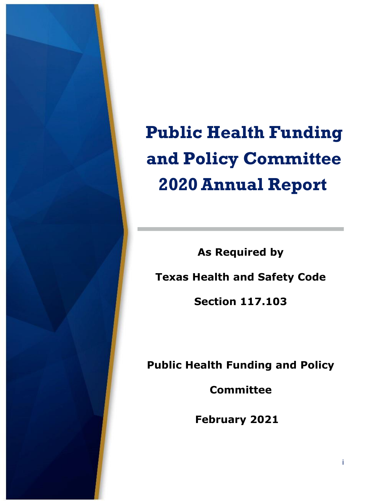

**Public Health Funding and Policy Committee 2020Annual Report** 

**As Required by Texas Health and Safety Code Section 117.103** 

**Public Health Funding and Policy** 

**Committee** 

**February 2021**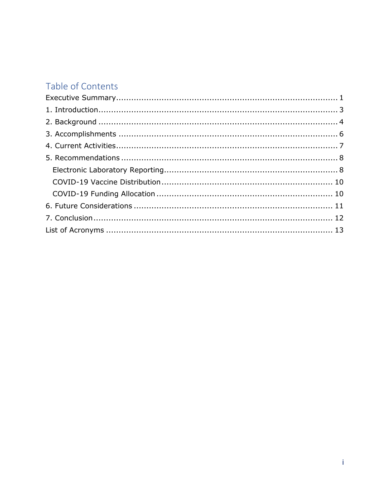## Table of Contents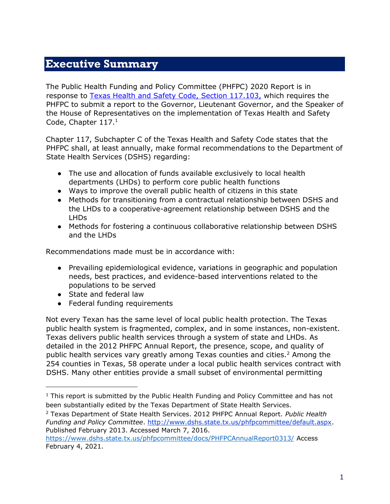### <span id="page-2-0"></span>**Executive Summary**

The Public Health Funding and Policy Committee (PHFPC) 2020 Report is in response to [Texas Health and Safety Code, Section 117.103,](http://www.statutes.legis.state.tx.us/Docs/HS/htm/HS.117.htm) [w](http://www.statutes.legis.state.tx.us/Docs/HS/htm/HS.117.htm)hich requires the PHFPC to submit a report to the Governor, Lieutenant Governor, and the Speaker of the House of Representatives on the implementation of Texas Health and Safety Code, Chapter 117.<sup>1</sup>

Chapter 117, Subchapter C of the Texas Health and Safety Code states that the PHFPC shall, at least annually, make formal recommendations to the Department of State Health Services (DSHS) regarding:

- The use and allocation of funds available exclusively to local health departments (LHDs) to perform core public health functions
- Ways to improve the overall public health of citizens in this state
- Methods for transitioning from a contractual relationship between DSHS and the LHDs to a cooperative-agreement relationship between DSHS and the LHDs
- Methods for fostering a continuous collaborative relationship between DSHS and the LHDs

Recommendations made must be in accordance with:

- Prevailing epidemiological evidence, variations in geographic and population needs, best practices, and evidence-based interventions related to the populations to be served
- State and federal law

 $\overline{a}$ 

● Federal funding requirements

Not every Texan has the same level of local public health protection. The Texas public health system is fragmented, complex, and in some instances, non-existent. Texas delivers public health services through a system of state and LHDs. As detailed in the 2012 PHFPC Annual Report, the presence, scope, and quality of public health services vary greatly among Texas counties and cities.<sup>2</sup> Among the 254 counties in Texas, 58 operate under a local public health services contract with DSHS. Many other entities provide a small subset of environmental permitting

<sup>2</sup> Texas Department of State Health Services. 2012 PHFPC Annual Report. *Public Health Funding and Policy Committee*. [http://www.dshs.state.tx.us/phfpcommittee/default.aspx.](http://www.dshs.state.tx.us/phfpcommittee/default.aspx) Published February 2013. Accessed March 7, 2016.

 $1$  This report is submitted by the Public Health Funding and Policy Committee and has not been substantially edited by the Texas Department of State Health Services.

<https://www.dshs.state.tx.us/phfpcommittee/docs/PHFPCAnnualReport0313/> Access February 4, 2021.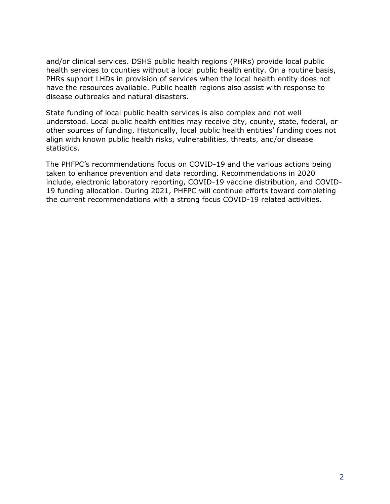and/or clinical services. DSHS public health regions (PHRs) provide local public health services to counties without a local public health entity. On a routine basis, PHRs support LHDs in provision of services when the local health entity does not have the resources available. Public health regions also assist with response to disease outbreaks and natural disasters.

State funding of local public health services is also complex and not well understood. Local public health entities may receive city, county, state, federal, or other sources of funding. Historically, local public health entities' funding does not align with known public health risks, vulnerabilities, threats, and/or disease statistics.

The PHFPC's recommendations focus on COVID-19 and the various actions being taken to enhance prevention and data recording. Recommendations in 2020 include, electronic laboratory reporting, COVID-19 vaccine distribution, and COVID-19 funding allocation. During 2021, PHFPC will continue efforts toward completing the current recommendations with a strong focus COVID-19 related activities.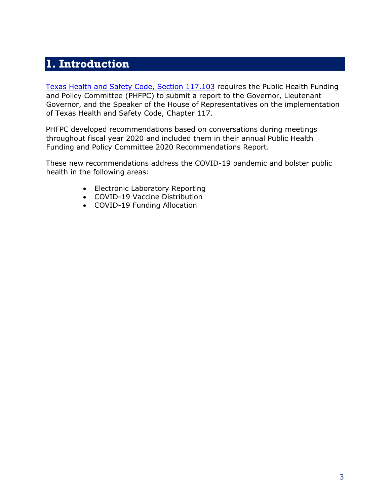## <span id="page-4-0"></span>**1. Introduction**

[Texas Health and Safety Code, Section 117.103](https://statutes.capitol.texas.gov/Docs/HS/htm/HS.117.htm) [r](https://statutes.capitol.texas.gov/Docs/HS/htm/HS.117.htm)equires the Public Health Funding and Policy Committee (PHFPC) to submit a report to the Governor, Lieutenant Governor, and the Speaker of the House of Representatives on the implementation of Texas Health and Safety Code, Chapter 117.

PHFPC developed recommendations based on conversations during meetings throughout fiscal year 2020 and included them in their annual Public Health Funding and Policy Committee 2020 Recommendations Report.

These new recommendations address the COVID-19 pandemic and bolster public health in the following areas:

- Electronic Laboratory Reporting
- COVID-19 Vaccine Distribution
- <span id="page-4-1"></span>• COVID-19 Funding Allocation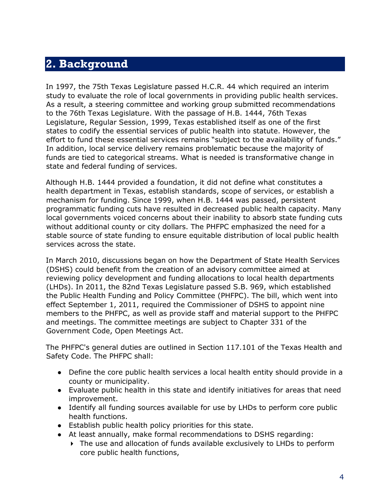## **2. Background**

In 1997, the 75th Texas Legislature passed H.C.R. 44 which required an interim study to evaluate the role of local governments in providing public health services. As a result, a steering committee and working group submitted recommendations to the 76th Texas Legislature. With the passage of H.B. 1444, 76th Texas Legislature, Regular Session, 1999, Texas established itself as one of the first states to codify the essential services of public health into statute. However, the effort to fund these essential services remains "subject to the availability of funds." In addition, local service delivery remains problematic because the majority of funds are tied to categorical streams. What is needed is transformative change in state and federal funding of services.

Although H.B. 1444 provided a foundation, it did not define what constitutes a health department in Texas, establish standards, scope of services, or establish a mechanism for funding. Since 1999, when H.B. 1444 was passed, persistent programmatic funding cuts have resulted in decreased public health capacity. Many local governments voiced concerns about their inability to absorb state funding cuts without additional county or city dollars. The PHFPC emphasized the need for a stable source of state funding to ensure equitable distribution of local public health services across the state.

In March 2010, discussions began on how the Department of State Health Services (DSHS) could benefit from the creation of an advisory committee aimed at reviewing policy development and funding allocations to local health departments (LHDs). In 2011, the 82nd Texas Legislature passed S.B. 969, which established the Public Health Funding and Policy Committee (PHFPC). The bill, which went into effect September 1, 2011, required the Commissioner of DSHS to appoint nine members to the PHFPC, as well as provide staff and material support to the PHFPC and meetings. The committee meetings are subject to Chapter 331 of the Government Code, Open Meetings Act.

The PHFPC's general duties are outlined in Section 117.101 of the Texas Health and Safety Code. The PHFPC shall:

- Define the core public health services a local health entity should provide in a county or municipality.
- Evaluate public health in this state and identify initiatives for areas that need improvement.
- Identify all funding sources available for use by LHDs to perform core public health functions.
- Establish public health policy priorities for this state.
- At least annually, make formal recommendations to DSHS regarding:
	- The use and allocation of funds available exclusively to LHDs to perform core public health functions,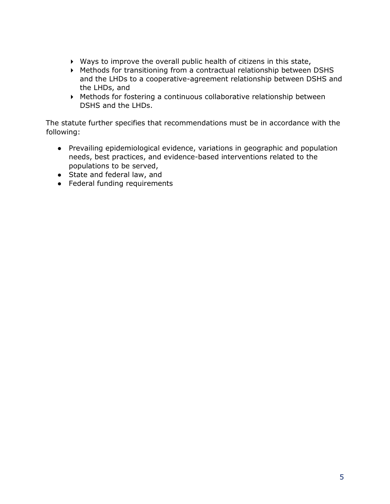- Ways to improve the overall public health of citizens in this state,
- Methods for transitioning from a contractual relationship between DSHS and the LHDs to a cooperative-agreement relationship between DSHS and the LHDs, and
- Methods for fostering a continuous collaborative relationship between DSHS and the LHDs.

The statute further specifies that recommendations must be in accordance with the following:

- Prevailing epidemiological evidence, variations in geographic and population needs, best practices, and evidence-based interventions related to the populations to be served,
- State and federal law, and
- <span id="page-6-0"></span>● Federal funding requirements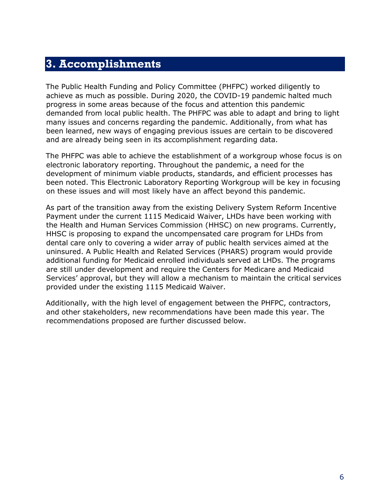### **3. Accomplishments**

The Public Health Funding and Policy Committee (PHFPC) worked diligently to achieve as much as possible. During 2020, the COVID-19 pandemic halted much progress in some areas because of the focus and attention this pandemic demanded from local public health. The PHFPC was able to adapt and bring to light many issues and concerns regarding the pandemic. Additionally, from what has been learned, new ways of engaging previous issues are certain to be discovered and are already being seen in its accomplishment regarding data.

The PHFPC was able to achieve the establishment of a workgroup whose focus is on electronic laboratory reporting. Throughout the pandemic, a need for the development of minimum viable products, standards, and efficient processes has been noted. This Electronic Laboratory Reporting Workgroup will be key in focusing on these issues and will most likely have an affect beyond this pandemic.

As part of the transition away from the existing Delivery System Reform Incentive Payment under the current 1115 Medicaid Waiver, LHDs have been working with the Health and Human Services Commission (HHSC) on new programs. Currently, HHSC is proposing to expand the uncompensated care program for LHDs from dental care only to covering a wider array of public health services aimed at the uninsured. A Public Health and Related Services (PHARS) program would provide additional funding for Medicaid enrolled individuals served at LHDs. The programs are still under development and require the Centers for Medicare and Medicaid Services' approval, but they will allow a mechanism to maintain the critical services provided under the existing 1115 Medicaid Waiver.

<span id="page-7-0"></span>Additionally, with the high level of engagement between the PHFPC, contractors, and other stakeholders, new recommendations have been made this year. The recommendations proposed are further discussed below.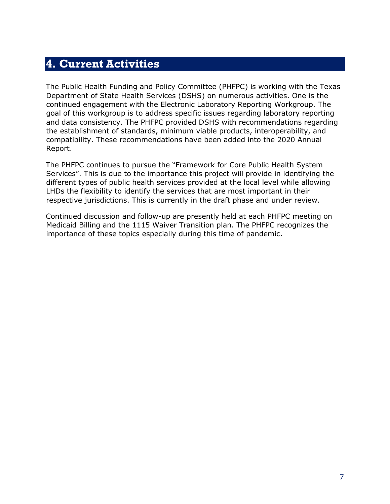## **4. Current Activities**

The Public Health Funding and Policy Committee (PHFPC) is working with the Texas Department of State Health Services (DSHS) on numerous activities. One is the continued engagement with the Electronic Laboratory Reporting Workgroup. The goal of this workgroup is to address specific issues regarding laboratory reporting and data consistency. The PHFPC provided DSHS with recommendations regarding the establishment of standards, minimum viable products, interoperability, and compatibility. These recommendations have been added into the 2020 Annual Report.

The PHFPC continues to pursue the "Framework for Core Public Health System Services". This is due to the importance this project will provide in identifying the different types of public health services provided at the local level while allowing LHDs the flexibility to identify the services that are most important in their respective jurisdictions. This is currently in the draft phase and under review.

<span id="page-8-0"></span>Continued discussion and follow-up are presently held at each PHFPC meeting on Medicaid Billing and the 1115 Waiver Transition plan. The PHFPC recognizes the importance of these topics especially during this time of pandemic.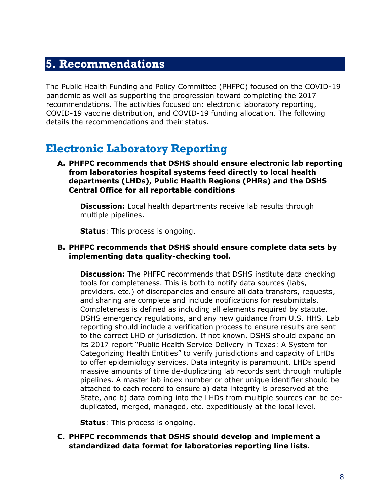### **5. Recommendations**

The Public Health Funding and Policy Committee (PHFPC) focused on the COVID-19 pandemic as well as supporting the progression toward completing the 2017 recommendations. The activities focused on: electronic laboratory reporting, COVID-19 vaccine distribution, and COVID-19 funding allocation. The following details the recommendations and their status.

### <span id="page-9-0"></span>**Electronic Laboratory Reporting**

**A. PHFPC recommends that DSHS should ensure electronic lab reporting from laboratories hospital systems feed directly to local health departments (LHDs), Public Health Regions (PHRs) and the DSHS Central Office for all reportable conditions**

**Discussion:** Local health departments receive lab results through multiple pipelines.

**Status**: This process is ongoing.

#### **B. PHFPC recommends that DSHS should ensure complete data sets by implementing data quality-checking tool.**

**Discussion:** The PHFPC recommends that DSHS institute data checking tools for completeness. This is both to notify data sources (labs, providers, etc.) of discrepancies and ensure all data transfers, requests, and sharing are complete and include notifications for resubmittals. Completeness is defined as including all elements required by statute, DSHS emergency regulations, and any new guidance from U.S. HHS. Lab reporting should include a verification process to ensure results are sent to the correct LHD of jurisdiction. If not known, DSHS should expand on its 2017 report "Public Health Service Delivery in Texas: A System for Categorizing Health Entities" to verify jurisdictions and capacity of LHDs to offer epidemiology services. Data integrity is paramount. LHDs spend massive amounts of time de-duplicating lab records sent through multiple pipelines. A master lab index number or other unique identifier should be attached to each record to ensure a) data integrity is preserved at the State, and b) data coming into the LHDs from multiple sources can be deduplicated, merged, managed, etc. expeditiously at the local level.

**Status**: This process is ongoing.

**C. PHFPC recommends that DSHS should develop and implement a standardized data format for laboratories reporting line lists.**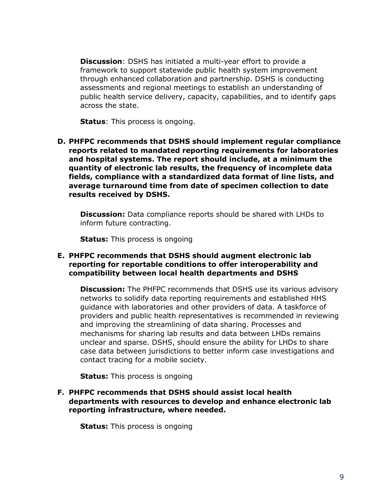**Discussion**: DSHS has initiated a multi-year effort to provide a framework to support statewide public health system improvement through enhanced collaboration and partnership. DSHS is conducting assessments and regional meetings to establish an understanding of public health service delivery, capacity, capabilities, and to identify gaps across the state.

**Status**: This process is ongoing.

**D. PHFPC recommends that DSHS should implement regular compliance reports related to mandated reporting requirements for laboratories and hospital systems. The report should include, at a minimum the quantity of electronic lab results, the frequency of incomplete data fields, compliance with a standardized data format of line lists, and average turnaround time from date of specimen collection to date results received by DSHS.**

**Discussion:** Data compliance reports should be shared with LHDs to inform future contracting.

**Status:** This process is ongoing

#### **E. PHFPC recommends that DSHS should augment electronic lab reporting for reportable conditions to offer interoperability and compatibility between local health departments and DSHS**

**Discussion:** The PHFPC recommends that DSHS use its various advisory networks to solidify data reporting requirements and established HHS guidance with laboratories and other providers of data. A taskforce of providers and public health representatives is recommended in reviewing and improving the streamlining of data sharing. Processes and mechanisms for sharing lab results and data between LHDs remains unclear and sparse. DSHS, should ensure the ability for LHDs to share case data between jurisdictions to better inform case investigations and contact tracing for a mobile society.

**Status:** This process is ongoing

**F. PHFPC recommends that DSHS should assist local health departments with resources to develop and enhance electronic lab reporting infrastructure, where needed.** 

**Status:** This process is ongoing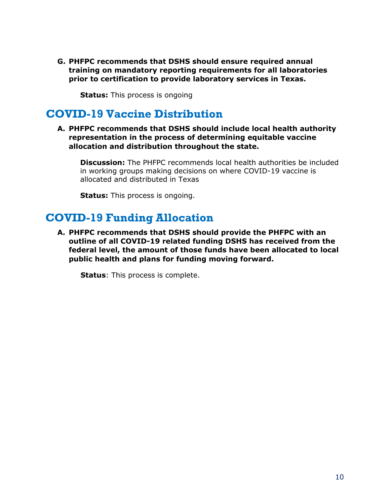**G. PHFPC recommends that DSHS should ensure required annual training on mandatory reporting requirements for all laboratories prior to certification to provide laboratory services in Texas.**

**Status:** This process is ongoing

### <span id="page-11-0"></span>**COVID-19 Vaccine Distribution**

**A. PHFPC recommends that DSHS should include local health authority representation in the process of determining equitable vaccine allocation and distribution throughout the state.** 

**Discussion:** The PHFPC recommends local health authorities be included in working groups making decisions on where COVID-19 vaccine is allocated and distributed in Texas

**Status:** This process is ongoing.

### <span id="page-11-1"></span>**COVID-19 Funding Allocation**

**A. PHFPC recommends that DSHS should provide the PHFPC with an outline of all COVID-19 related funding DSHS has received from the federal level, the amount of those funds have been allocated to local public health and plans for funding moving forward.** 

<span id="page-11-2"></span>**Status**: This process is complete.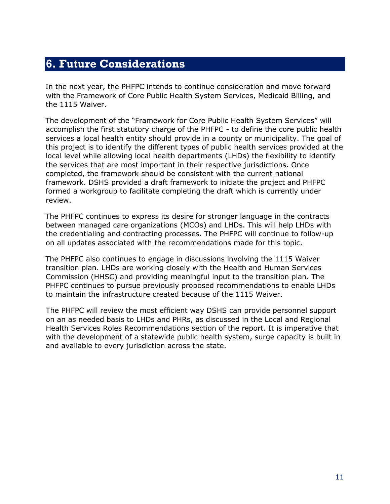## **6. Future Considerations**

In the next year, the PHFPC intends to continue consideration and move forward with the Framework of Core Public Health System Services, Medicaid Billing, and the 1115 Waiver.

The development of the "Framework for Core Public Health System Services" will accomplish the first statutory charge of the PHFPC - to define the core public health services a local health entity should provide in a county or municipality. The goal of this project is to identify the different types of public health services provided at the local level while allowing local health departments (LHDs) the flexibility to identify the services that are most important in their respective jurisdictions. Once completed, the framework should be consistent with the current national framework. DSHS provided a draft framework to initiate the project and PHFPC formed a workgroup to facilitate completing the draft which is currently under review.

The PHFPC continues to express its desire for stronger language in the contracts between managed care organizations (MCOs) and LHDs. This will help LHDs with the credentialing and contracting processes. The PHFPC will continue to follow-up on all updates associated with the recommendations made for this topic.

The PHFPC also continues to engage in discussions involving the 1115 Waiver transition plan. LHDs are working closely with the Health and Human Services Commission (HHSC) and providing meaningful input to the transition plan. The PHFPC continues to pursue previously proposed recommendations to enable LHDs to maintain the infrastructure created because of the 1115 Waiver.

<span id="page-12-0"></span>The PHFPC will review the most efficient way DSHS can provide personnel support on an as needed basis to LHDs and PHRs, as discussed in the Local and Regional Health Services Roles Recommendations section of the report. It is imperative that with the development of a statewide public health system, surge capacity is built in and available to every jurisdiction across the state.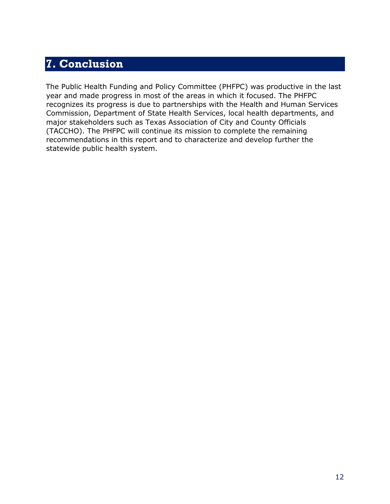## **7. Conclusion**

The Public Health Funding and Policy Committee (PHFPC) was productive in the last year and made progress in most of the areas in which it focused. The PHFPC recognizes its progress is due to partnerships with the Health and Human Services Commission, Department of State Health Services, local health departments, and major stakeholders such as Texas Association of City and County Officials (TACCHO). The PHFPC will continue its mission to complete the remaining recommendations in this report and to characterize and develop further the statewide public health system.